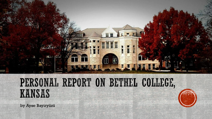

## PERSONAL REPORT ON BETHEL COLLEGE, KANSAS

by Ayse Bayiryüzü

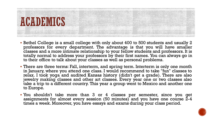

- Bethel College is a small college with only about 400 to 500 students and usually 2 professors for every department. The advantage is that you will have smaller classes and a more intimate relationship to your fellow students and professors. It is totally normal to address your professors by their first names. You can always go in to their office to talk about your classes as well as personal problems.
- **There are three terms: Fall, interterm, and spring term. Interterm is only one month** in January, where you attend one class. I would recommend to take "fun" classes to relax. I took yoga and audited Kansas history (didn't get a grade). There are also jewelry making classes and other art classes. Every year one or two classes also take a trip to a different country. This year a group went to Mexico and another one to Europe.
- You shouldn't take more than 3 or 4 classes per semester, since you get assignments for almost every session (50 minutes) and you have one course  $\tilde{Z}-4$ times a week. Moreover, you have essays and exams during your class period.

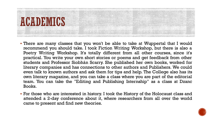

- There are many classes that you won't be able to take at Wuppertal that I would recommend you should take. I took Fiction Writing Workshop, but there is also a Poetry Writing Workshop. It's totally different from all other courses, since it's practical. You write your own short stories or poems and get feedback from other students and Professor Siobhán Scarry. She published her own books, worked for literary companies and has connections to other authors and Publishers. We could even talk to known authors and ask them for tips and help. The College also has its own literary magazine, and you can take a class where you are part of the editorial team. You can take the "Editing and Publishing Internship" as a class at Dzanc Books.
- For those who are interested in history. I took the History of the Holocaust class and attended a 2-day conference about it, where researchers from all over the world came to present and find new theories.

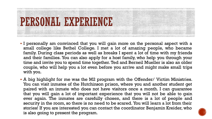

- I personally am convinced that you will gain more on the personal aspect with a small college like Bethel College. I met a lot of amazing people, who became family. During class periods as well as breaks I spent a lot of time with my friends and their families. You can also apply for a host family, who help you through your time and invite you to spend time together. Ted and Berneil Mueller is also an older couple, who will help you a lot even before you arrive and might make small trips with you.
- A big highlight for me was the M2 program with the Offender/ Victim Ministries. You can visit inmates of the Hutchinson prison, where you and another student get paired with an inmate who does not have visitors once a month. I can guarantee that you will gain a lot of important experience that you will not be able to gain ever again. The inmates are carefully chosen, and there is a lot of people and security in the room, so there is no need to be scared. You will learn a lot from their stories! If you are interested you can contact the coordinator Benjamin Kreider, who is also going to present the program.

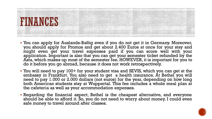

- You can apply for Auslands-Bafög even if you do not get it in Germany. Moreover, you should apply for Promos and get about 2.400 Euros at once for your stay and might even get your travel expenses paid if you can score well with your application. Important is also that you can get your semester ticket refunded by the Asta, which makes up most of the semester fee. HOWEVER, it is important for you to do it before you go abroad, because it does not work retrospectively.
- You will need to pay 100+ for your student visa and SEVIS, which you can get at the embassy in Frankfurt. You also need to get a health insurance. At Bethel you will need to pay 1.000 or 2.000 dollars (not euros) for the year, depending on how long both American students stay at Wuppertal. This fee includes a whole meal plan at the cafeteria as well as your accommodation expenses.
- Regarding the financial aspect, Bethel is the cheapest alternative, and everyone should be able to afford it. So, you do not need to worry about money. I could even safe money to travel around after classes.